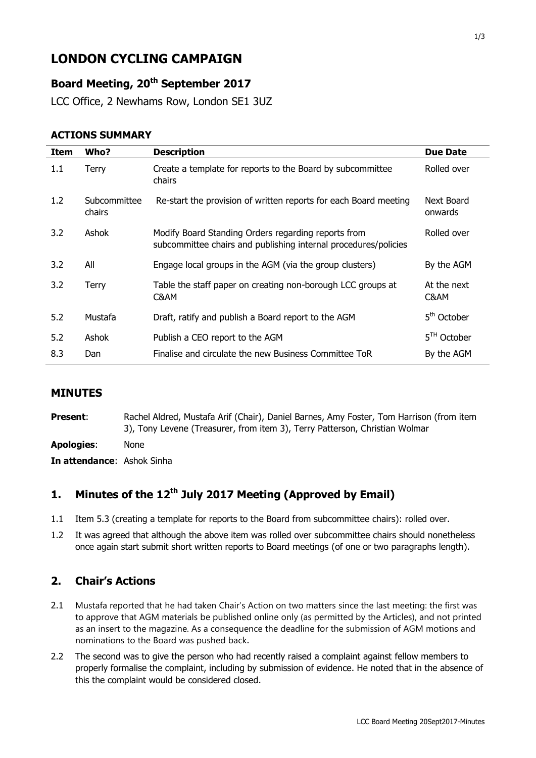# **LONDON CYCLING CAMPAIGN**

## **Board Meeting, 20th September 2017**

LCC Office, 2 Newhams Row, London SE1 3UZ

#### **ACTIONS SUMMARY**

| <b>Item</b> | Who?                   | <b>Description</b>                                                                                                     | <b>Due Date</b>       |
|-------------|------------------------|------------------------------------------------------------------------------------------------------------------------|-----------------------|
| 1.1         | Terry                  | Create a template for reports to the Board by subcommittee<br>chairs                                                   | Rolled over           |
| 1.2         | Subcommittee<br>chairs | Re-start the provision of written reports for each Board meeting                                                       | Next Board<br>onwards |
| 3.2         | Ashok                  | Modify Board Standing Orders regarding reports from<br>subcommittee chairs and publishing internal procedures/policies | Rolled over           |
| 3.2         | All                    | Engage local groups in the AGM (via the group clusters)                                                                | By the AGM            |
| 3.2         | Terry                  | Table the staff paper on creating non-borough LCC groups at<br>C&AM                                                    | At the next<br>C&AM   |
| 5.2         | Mustafa                | Draft, ratify and publish a Board report to the AGM                                                                    | 5th October           |
| 5.2         | Ashok                  | Publish a CEO report to the AGM                                                                                        | $5TH$ October         |
| 8.3         | Dan                    | Finalise and circulate the new Business Committee ToR                                                                  | By the AGM            |

#### **MINUTES**

**Present:** Rachel Aldred, Mustafa Arif (Chair), Daniel Barnes, Amy Foster, Tom Harrison (from item 3), Tony Levene (Treasurer, from item 3), Terry Patterson, Christian Wolmar

**Apologies**: None

**In attendance**: Ashok Sinha

# **1. Minutes of the 12th July 2017 Meeting (Approved by Email)**

- 1.1 Item 5.3 (creating a template for reports to the Board from subcommittee chairs): rolled over.
- 1.2 It was agreed that although the above item was rolled over subcommittee chairs should nonetheless once again start submit short written reports to Board meetings (of one or two paragraphs length).

## **2. Chair's Actions**

- 2.1 Mustafa reported that he had taken Chair's Action on two matters since the last meeting: the first was to approve that AGM materials be published online only (as permitted by the Articles), and not printed as an insert to the magazine. As a consequence the deadline for the submission of AGM motions and nominations to the Board was pushed back.
- 2.2 The second was to give the person who had recently raised a complaint against fellow members to properly formalise the complaint, including by submission of evidence. He noted that in the absence of this the complaint would be considered closed.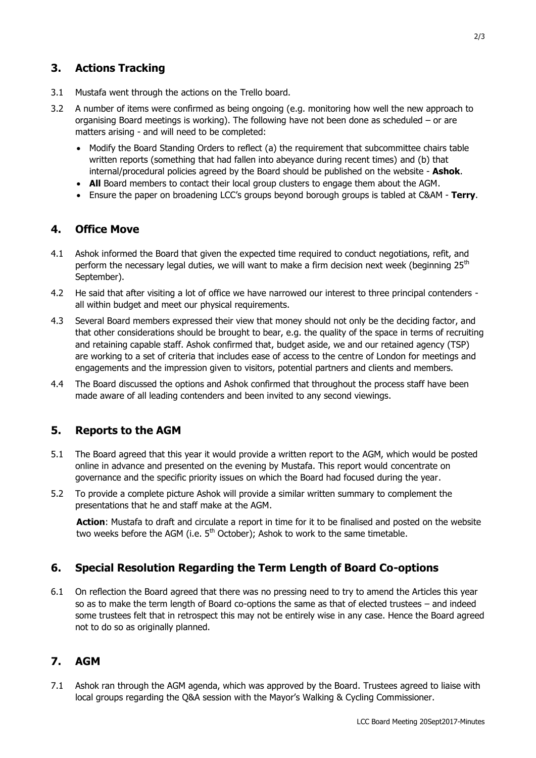- 3.1 Mustafa went through the actions on the Trello board.
- 3.2 A number of items were confirmed as being ongoing (e.g. monitoring how well the new approach to organising Board meetings is working). The following have not been done as scheduled – or are matters arising - and will need to be completed:
	- Modify the Board Standing Orders to reflect (a) the requirement that subcommittee chairs table written reports (something that had fallen into abeyance during recent times) and (b) that internal/procedural policies agreed by the Board should be published on the website - **Ashok**.
	- **All** Board members to contact their local group clusters to engage them about the AGM.
	- Ensure the paper on broadening LCC's groups beyond borough groups is tabled at C&AM **Terry**.

## **4. Office Move**

- 4.1 Ashok informed the Board that given the expected time required to conduct negotiations, refit, and perform the necessary legal duties, we will want to make a firm decision next week (beginning  $25<sup>th</sup>$ September).
- 4.2 He said that after visiting a lot of office we have narrowed our interest to three principal contenders all within budget and meet our physical requirements.
- 4.3 Several Board members expressed their view that money should not only be the deciding factor, and that other considerations should be brought to bear, e.g. the quality of the space in terms of recruiting and retaining capable staff. Ashok confirmed that, budget aside, we and our retained agency (TSP) are working to a set of criteria that includes ease of access to the centre of London for meetings and engagements and the impression given to visitors, potential partners and clients and members.
- 4.4 The Board discussed the options and Ashok confirmed that throughout the process staff have been made aware of all leading contenders and been invited to any second viewings.

## **5. Reports to the AGM**

- 5.1 The Board agreed that this year it would provide a written report to the AGM, which would be posted online in advance and presented on the evening by Mustafa. This report would concentrate on governance and the specific priority issues on which the Board had focused during the year.
- 5.2 To provide a complete picture Ashok will provide a similar written summary to complement the presentations that he and staff make at the AGM.

**Action**: Mustafa to draft and circulate a report in time for it to be finalised and posted on the website two weeks before the AGM (i.e.  $5<sup>th</sup>$  October); Ashok to work to the same timetable.

## **6. Special Resolution Regarding the Term Length of Board Co-options**

6.1 On reflection the Board agreed that there was no pressing need to try to amend the Articles this year so as to make the term length of Board co-options the same as that of elected trustees – and indeed some trustees felt that in retrospect this may not be entirely wise in any case. Hence the Board agreed not to do so as originally planned.

## **7. AGM**

7.1 Ashok ran through the AGM agenda, which was approved by the Board. Trustees agreed to liaise with local groups regarding the Q&A session with the Mayor's Walking & Cycling Commissioner.